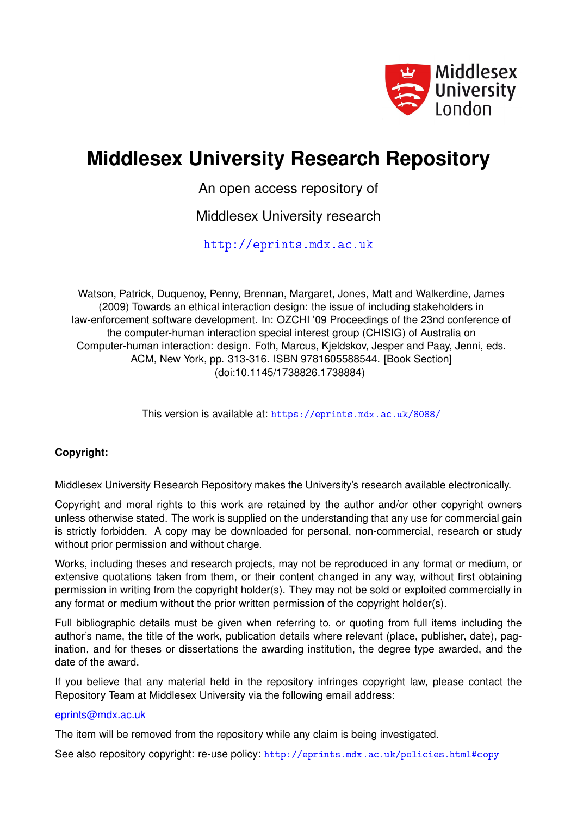

# **Middlesex University Research Repository**

An open access repository of

Middlesex University research

<http://eprints.mdx.ac.uk>

Watson, Patrick, Duquenoy, Penny, Brennan, Margaret, Jones, Matt and Walkerdine, James (2009) Towards an ethical interaction design: the issue of including stakeholders in law-enforcement software development. In: OZCHI '09 Proceedings of the 23nd conference of the computer-human interaction special interest group (CHISIG) of Australia on Computer-human interaction: design. Foth, Marcus, Kjeldskov, Jesper and Paay, Jenni, eds. ACM, New York, pp. 313-316. ISBN 9781605588544. [Book Section] (doi:10.1145/1738826.1738884)

This version is available at: <https://eprints.mdx.ac.uk/8088/>

## **Copyright:**

Middlesex University Research Repository makes the University's research available electronically.

Copyright and moral rights to this work are retained by the author and/or other copyright owners unless otherwise stated. The work is supplied on the understanding that any use for commercial gain is strictly forbidden. A copy may be downloaded for personal, non-commercial, research or study without prior permission and without charge.

Works, including theses and research projects, may not be reproduced in any format or medium, or extensive quotations taken from them, or their content changed in any way, without first obtaining permission in writing from the copyright holder(s). They may not be sold or exploited commercially in any format or medium without the prior written permission of the copyright holder(s).

Full bibliographic details must be given when referring to, or quoting from full items including the author's name, the title of the work, publication details where relevant (place, publisher, date), pagination, and for theses or dissertations the awarding institution, the degree type awarded, and the date of the award.

If you believe that any material held in the repository infringes copyright law, please contact the Repository Team at Middlesex University via the following email address:

### [eprints@mdx.ac.uk](mailto:eprints@mdx.ac.uk)

The item will be removed from the repository while any claim is being investigated.

See also repository copyright: re-use policy: <http://eprints.mdx.ac.uk/policies.html#copy>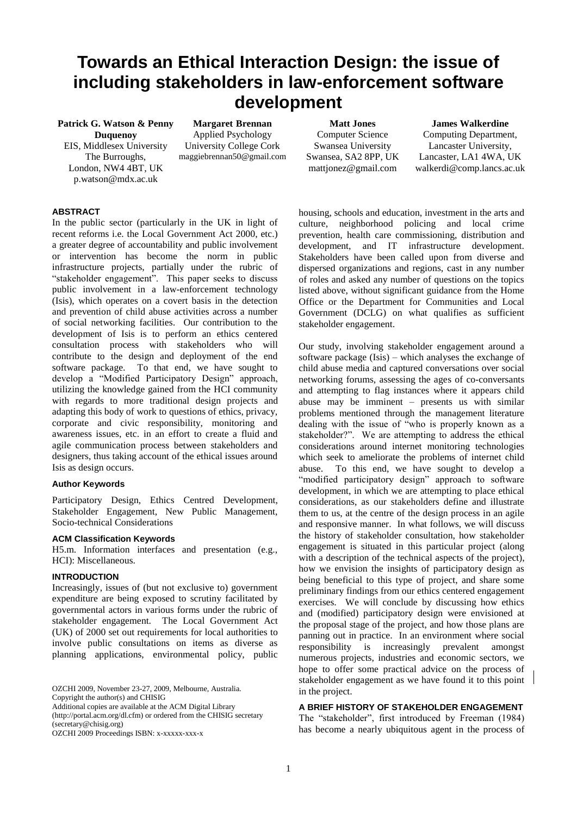# **Towards an Ethical Interaction Design: the issue of including stakeholders in law-enforcement software development**

**Patrick G. Watson & Penny Duquenoy** EIS, Middlesex University The Burroughs, London, NW4 4BT, UK p.watson@mdx.ac.uk

**Margaret Brennan** Applied Psychology University College Cork maggiebrennan50@gmail.com

**Matt Jones** Computer Science Swansea University Swansea, SA2 8PP, UK mattjonez@gmail.com

**James Walkerdine**  Computing Department, Lancaster University, Lancaster, LA1 4WA, UK walkerdi@comp.lancs.ac.uk

#### **ABSTRACT**

In the public sector (particularly in the UK in light of recent reforms i.e. the Local Government Act 2000, etc.) a greater degree of accountability and public involvement or intervention has become the norm in public infrastructure projects, partially under the rubric of "stakeholder engagement". This paper seeks to discuss public involvement in a law-enforcement technology (Isis), which operates on a covert basis in the detection and prevention of child abuse activities across a number of social networking facilities. Our contribution to the development of Isis is to perform an ethics centered consultation process with stakeholders who will contribute to the design and deployment of the end software package. To that end, we have sought to develop a "Modified Participatory Design" approach, utilizing the knowledge gained from the HCI community with regards to more traditional design projects and adapting this body of work to questions of ethics, privacy, corporate and civic responsibility, monitoring and awareness issues, etc. in an effort to create a fluid and agile communication process between stakeholders and designers, thus taking account of the ethical issues around Isis as design occurs.

#### **Author Keywords**

Participatory Design, Ethics Centred Development, Stakeholder Engagement, New Public Management, Socio-technical Considerations

#### **ACM Classification Keywords**

H5.m. Information interfaces and presentation (e.g., HCI): Miscellaneous.

#### **INTRODUCTION**

Increasingly, issues of (but not exclusive to) government expenditure are being exposed to scrutiny facilitated by governmental actors in various forms under the rubric of stakeholder engagement. The Local Government Act (UK) of 2000 set out requirements for local authorities to involve public consultations on items as diverse as planning applications, environmental policy, public

OZCHI 2009, November 23-27, 2009, Melbourne, Australia. Copyright the author(s) and CHISIG

Additional copies are available at the ACM Digital Library

(http://portal.acm.org/dl.cfm) or ordered from the CHISIG secretary (secretary@chisig.org)

OZCHI 2009 Proceedings ISBN: x-xxxxx-xxx-x

housing, schools and education, investment in the arts and culture, neighborhood policing and local crime prevention, health care commissioning, distribution and development, and IT infrastructure development. Stakeholders have been called upon from diverse and dispersed organizations and regions, cast in any number of roles and asked any number of questions on the topics listed above, without significant guidance from the Home Office or the Department for Communities and Local Government (DCLG) on what qualifies as sufficient stakeholder engagement.

Our study, involving stakeholder engagement around a software package (Isis) – which analyses the exchange of child abuse media and captured conversations over social networking forums, assessing the ages of co-conversants and attempting to flag instances where it appears child abuse may be imminent – presents us with similar problems mentioned through the management literature dealing with the issue of "who is properly known as a stakeholder?". We are attempting to address the ethical considerations around internet monitoring technologies which seek to ameliorate the problems of internet child abuse. To this end, we have sought to develop a "modified participatory design" approach to software development, in which we are attempting to place ethical considerations, as our stakeholders define and illustrate them to us, at the centre of the design process in an agile and responsive manner. In what follows, we will discuss the history of stakeholder consultation, how stakeholder engagement is situated in this particular project (along with a description of the technical aspects of the project), how we envision the insights of participatory design as being beneficial to this type of project, and share some preliminary findings from our ethics centered engagement exercises. We will conclude by discussing how ethics and (modified) participatory design were envisioned at the proposal stage of the project, and how those plans are panning out in practice. In an environment where social responsibility is increasingly prevalent amongst numerous projects, industries and economic sectors, we hope to offer some practical advice on the process of stakeholder engagement as we have found it to this point in the project.

#### **A BRIEF HISTORY OF STAKEHOLDER ENGAGEMENT**

The "stakeholder", first introduced by Freeman (1984) has become a nearly ubiquitous agent in the process of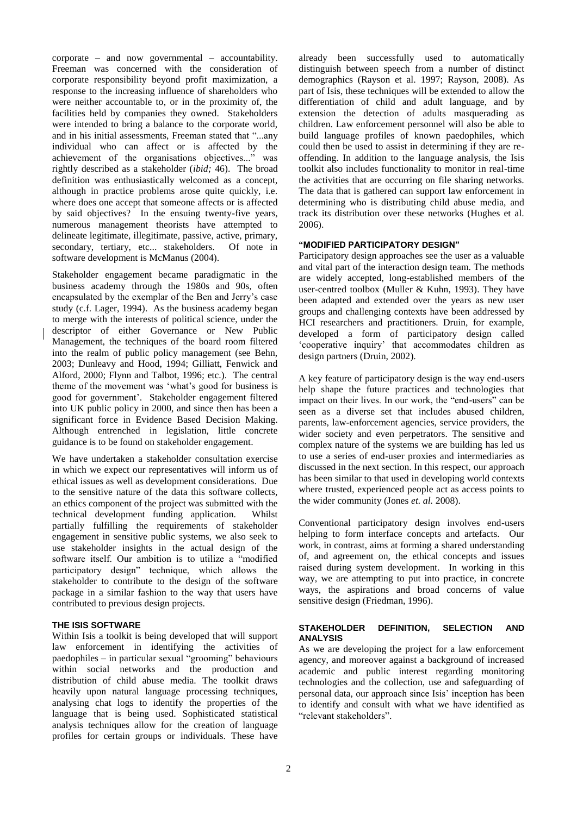corporate – and now governmental – accountability. Freeman was concerned with the consideration of corporate responsibility beyond profit maximization, a response to the increasing influence of shareholders who were neither accountable to, or in the proximity of, the facilities held by companies they owned. Stakeholders were intended to bring a balance to the corporate world, and in his initial assessments, Freeman stated that "...any individual who can affect or is affected by the achievement of the organisations objectives..." was rightly described as a stakeholder (*ibid;* 46). The broad definition was enthusiastically welcomed as a concept, although in practice problems arose quite quickly, i.e. where does one accept that someone affects or is affected by said objectives? In the ensuing twenty-five years, numerous management theorists have attempted to delineate legitimate, illegitimate, passive, active, primary, secondary, tertiary, etc... stakeholders. Of note in software development is McManus (2004).

Stakeholder engagement became paradigmatic in the business academy through the 1980s and 90s, often encapsulated by the exemplar of the Ben and Jerry"s case study (c.f. Lager, 1994). As the business academy began to merge with the interests of political science, under the descriptor of either Governance or New Public Management, the techniques of the board room filtered into the realm of public policy management (see Behn, 2003; Dunleavy and Hood, 1994; Gilliatt, Fenwick and Alford, 2000; Flynn and Talbot, 1996; etc.). The central theme of the movement was "what"s good for business is good for government". Stakeholder engagement filtered into UK public policy in 2000, and since then has been a significant force in Evidence Based Decision Making. Although entrenched in legislation, little concrete guidance is to be found on stakeholder engagement.

We have undertaken a stakeholder consultation exercise in which we expect our representatives will inform us of ethical issues as well as development considerations. Due to the sensitive nature of the data this software collects, an ethics component of the project was submitted with the technical development funding application. Whilst partially fulfilling the requirements of stakeholder engagement in sensitive public systems, we also seek to use stakeholder insights in the actual design of the software itself. Our ambition is to utilize a "modified participatory design" technique, which allows the stakeholder to contribute to the design of the software package in a similar fashion to the way that users have contributed to previous design projects.

#### **THE ISIS SOFTWARE**

Within Isis a toolkit is being developed that will support law enforcement in identifying the activities of paedophiles – in particular sexual "grooming" behaviours within social networks and the production and distribution of child abuse media. The toolkit draws heavily upon natural language processing techniques, analysing chat logs to identify the properties of the language that is being used. Sophisticated statistical analysis techniques allow for the creation of language profiles for certain groups or individuals. These have already been successfully used to automatically distinguish between speech from a number of distinct demographics (Rayson et al. 1997; Rayson, 2008). As part of Isis, these techniques will be extended to allow the differentiation of child and adult language, and by extension the detection of adults masquerading as children. Law enforcement personnel will also be able to build language profiles of known paedophiles, which could then be used to assist in determining if they are reoffending. In addition to the language analysis, the Isis toolkit also includes functionality to monitor in real-time the activities that are occurring on file sharing networks. The data that is gathered can support law enforcement in determining who is distributing child abuse media, and track its distribution over these networks (Hughes et al. 2006).

#### **"MODIFIED PARTICIPATORY DESIGN"**

Participatory design approaches see the user as a valuable and vital part of the interaction design team. The methods are widely accepted, long-established members of the user-centred toolbox (Muller & Kuhn, 1993). They have been adapted and extended over the years as new user groups and challenging contexts have been addressed by HCI researchers and practitioners. Druin, for example, developed a form of participatory design called "cooperative inquiry" that accommodates children as design partners (Druin, 2002).

A key feature of participatory design is the way end-users help shape the future practices and technologies that impact on their lives. In our work, the "end-users" can be seen as a diverse set that includes abused children, parents, law-enforcement agencies, service providers, the wider society and even perpetrators. The sensitive and complex nature of the systems we are building has led us to use a series of end-user proxies and intermediaries as discussed in the next section. In this respect, our approach has been similar to that used in developing world contexts where trusted, experienced people act as access points to the wider community (Jones *et. al.* 2008).

Conventional participatory design involves end-users helping to form interface concepts and artefacts. Our work, in contrast, aims at forming a shared understanding of, and agreement on, the ethical concepts and issues raised during system development. In working in this way, we are attempting to put into practice, in concrete ways, the aspirations and broad concerns of value sensitive design (Friedman, 1996).

#### **STAKEHOLDER DEFINITION, SELECTION AND ANALYSIS**

As we are developing the project for a law enforcement agency, and moreover against a background of increased academic and public interest regarding monitoring technologies and the collection, use and safeguarding of personal data, our approach since Isis" inception has been to identify and consult with what we have identified as "relevant stakeholders".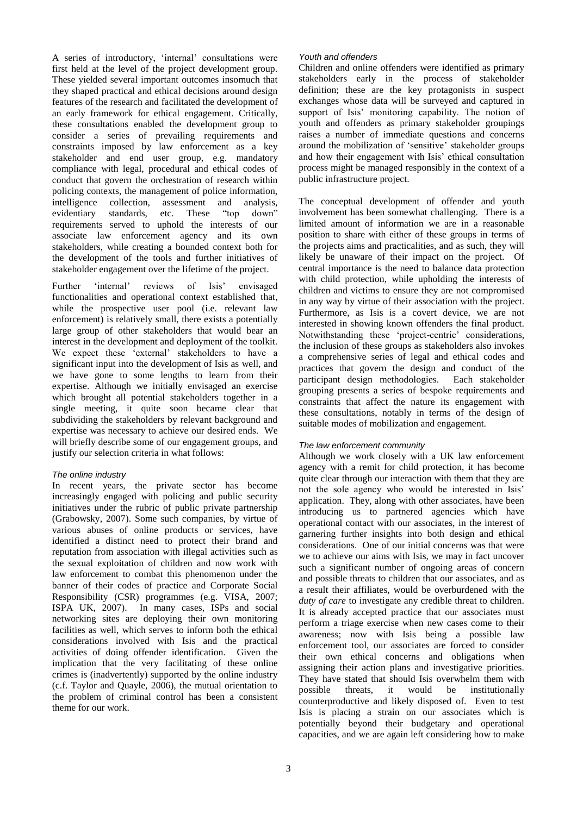A series of introductory, "internal" consultations were first held at the level of the project development group. These yielded several important outcomes insomuch that they shaped practical and ethical decisions around design features of the research and facilitated the development of an early framework for ethical engagement. Critically, these consultations enabled the development group to consider a series of prevailing requirements and constraints imposed by law enforcement as a key stakeholder and end user group, e.g. mandatory compliance with legal, procedural and ethical codes of conduct that govern the orchestration of research within policing contexts, the management of police information, intelligence collection, assessment and analysis, evidentiary standards, etc. These "top down" requirements served to uphold the interests of our associate law enforcement agency and its own stakeholders, while creating a bounded context both for the development of the tools and further initiatives of stakeholder engagement over the lifetime of the project.

Further 'internal' reviews of Isis' envisaged functionalities and operational context established that, while the prospective user pool (i.e. relevant law enforcement) is relatively small, there exists a potentially large group of other stakeholders that would bear an interest in the development and deployment of the toolkit. We expect these "external" stakeholders to have a significant input into the development of Isis as well, and we have gone to some lengths to learn from their expertise. Although we initially envisaged an exercise which brought all potential stakeholders together in a single meeting, it quite soon became clear that subdividing the stakeholders by relevant background and expertise was necessary to achieve our desired ends. We will briefly describe some of our engagement groups, and justify our selection criteria in what follows:

#### *The online industry*

In recent years, the private sector has become increasingly engaged with policing and public security initiatives under the rubric of public private partnership (Grabowsky, 2007). Some such companies, by virtue of various abuses of online products or services, have identified a distinct need to protect their brand and reputation from association with illegal activities such as the sexual exploitation of children and now work with law enforcement to combat this phenomenon under the banner of their codes of practice and Corporate Social Responsibility (CSR) programmes (e.g. VISA, 2007; ISPA UK, 2007). In many cases, ISPs and social networking sites are deploying their own monitoring facilities as well, which serves to inform both the ethical considerations involved with Isis and the practical activities of doing offender identification. Given the implication that the very facilitating of these online crimes is (inadvertently) supported by the online industry (c.f. Taylor and Quayle, 2006), the mutual orientation to the problem of criminal control has been a consistent theme for our work.

#### *Youth and offenders*

Children and online offenders were identified as primary stakeholders early in the process of stakeholder definition; these are the key protagonists in suspect exchanges whose data will be surveyed and captured in support of Isis' monitoring capability. The notion of youth and offenders as primary stakeholder groupings raises a number of immediate questions and concerns around the mobilization of "sensitive" stakeholder groups and how their engagement with Isis' ethical consultation process might be managed responsibly in the context of a public infrastructure project.

The conceptual development of offender and youth involvement has been somewhat challenging. There is a limited amount of information we are in a reasonable position to share with either of these groups in terms of the projects aims and practicalities, and as such, they will likely be unaware of their impact on the project. Of central importance is the need to balance data protection with child protection, while upholding the interests of children and victims to ensure they are not compromised in any way by virtue of their association with the project. Furthermore, as Isis is a covert device, we are not interested in showing known offenders the final product. Notwithstanding these 'project-centric' considerations, the inclusion of these groups as stakeholders also invokes a comprehensive series of legal and ethical codes and practices that govern the design and conduct of the participant design methodologies. Each stakeholder grouping presents a series of bespoke requirements and constraints that affect the nature its engagement with these consultations, notably in terms of the design of suitable modes of mobilization and engagement.

#### *The law enforcement community*

Although we work closely with a UK law enforcement agency with a remit for child protection, it has become quite clear through our interaction with them that they are not the sole agency who would be interested in Isis" application. They, along with other associates, have been introducing us to partnered agencies which have operational contact with our associates, in the interest of garnering further insights into both design and ethical considerations. One of our initial concerns was that were we to achieve our aims with Isis, we may in fact uncover such a significant number of ongoing areas of concern and possible threats to children that our associates, and as a result their affiliates, would be overburdened with the *duty of care* to investigate any credible threat to children. It is already accepted practice that our associates must perform a triage exercise when new cases come to their awareness; now with Isis being a possible law enforcement tool, our associates are forced to consider their own ethical concerns and obligations when assigning their action plans and investigative priorities. They have stated that should Isis overwhelm them with possible threats, it would be institutionally counterproductive and likely disposed of. Even to test Isis is placing a strain on our associates which is potentially beyond their budgetary and operational capacities, and we are again left considering how to make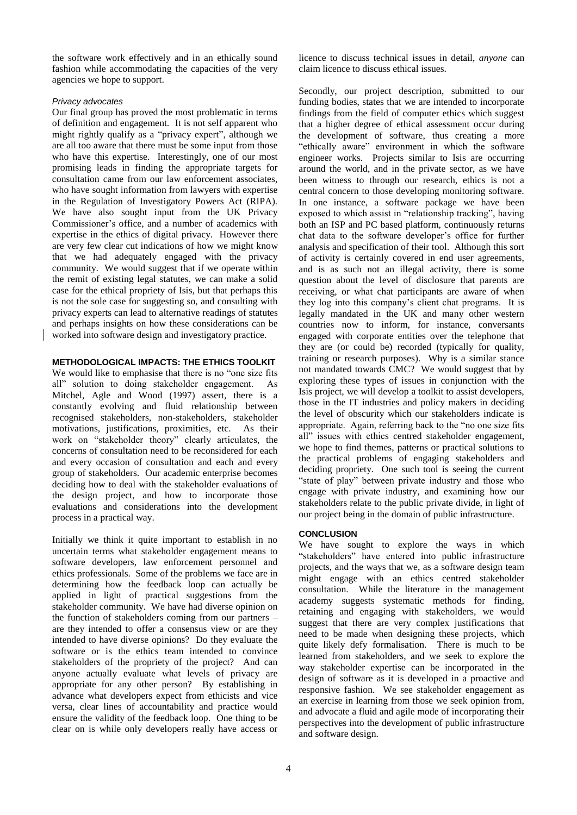the software work effectively and in an ethically sound fashion while accommodating the capacities of the very agencies we hope to support.

#### *Privacy advocates*

Our final group has proved the most problematic in terms of definition and engagement. It is not self apparent who might rightly qualify as a "privacy expert", although we are all too aware that there must be some input from those who have this expertise. Interestingly, one of our most promising leads in finding the appropriate targets for consultation came from our law enforcement associates, who have sought information from lawyers with expertise in the Regulation of Investigatory Powers Act (RIPA). We have also sought input from the UK Privacy Commissioner"s office, and a number of academics with expertise in the ethics of digital privacy. However there are very few clear cut indications of how we might know that we had adequately engaged with the privacy community. We would suggest that if we operate within the remit of existing legal statutes, we can make a solid case for the ethical propriety of Isis, but that perhaps this is not the sole case for suggesting so, and consulting with privacy experts can lead to alternative readings of statutes and perhaps insights on how these considerations can be worked into software design and investigatory practice.

#### **METHODOLOGICAL IMPACTS: THE ETHICS TOOLKIT**

We would like to emphasise that there is no "one size fits all" solution to doing stakeholder engagement. As Mitchel, Agle and Wood (1997) assert, there is a constantly evolving and fluid relationship between recognised stakeholders, non-stakeholders, stakeholder motivations, justifications, proximities, etc. As their work on "stakeholder theory" clearly articulates, the concerns of consultation need to be reconsidered for each and every occasion of consultation and each and every group of stakeholders. Our academic enterprise becomes deciding how to deal with the stakeholder evaluations of the design project, and how to incorporate those evaluations and considerations into the development process in a practical way.

Initially we think it quite important to establish in no uncertain terms what stakeholder engagement means to software developers, law enforcement personnel and ethics professionals. Some of the problems we face are in determining how the feedback loop can actually be applied in light of practical suggestions from the stakeholder community. We have had diverse opinion on the function of stakeholders coming from our partners – are they intended to offer a consensus view or are they intended to have diverse opinions? Do they evaluate the software or is the ethics team intended to convince stakeholders of the propriety of the project? And can anyone actually evaluate what levels of privacy are appropriate for any other person? By establishing in advance what developers expect from ethicists and vice versa, clear lines of accountability and practice would ensure the validity of the feedback loop. One thing to be clear on is while only developers really have access or

licence to discuss technical issues in detail, *anyone* can claim licence to discuss ethical issues.

Secondly, our project description, submitted to our funding bodies, states that we are intended to incorporate findings from the field of computer ethics which suggest that a higher degree of ethical assessment occur during the development of software, thus creating a more "ethically aware" environment in which the software engineer works. Projects similar to Isis are occurring around the world, and in the private sector, as we have been witness to through our research, ethics is not a central concern to those developing monitoring software. In one instance, a software package we have been exposed to which assist in "relationship tracking", having both an ISP and PC based platform, continuously returns chat data to the software developer's office for further analysis and specification of their tool. Although this sort of activity is certainly covered in end user agreements, and is as such not an illegal activity, there is some question about the level of disclosure that parents are receiving, or what chat participants are aware of when they log into this company"s client chat programs. It is legally mandated in the UK and many other western countries now to inform, for instance, conversants engaged with corporate entities over the telephone that they are (or could be) recorded (typically for quality, training or research purposes). Why is a similar stance not mandated towards CMC? We would suggest that by exploring these types of issues in conjunction with the Isis project, we will develop a toolkit to assist developers, those in the IT industries and policy makers in deciding the level of obscurity which our stakeholders indicate is appropriate. Again, referring back to the "no one size fits all" issues with ethics centred stakeholder engagement, we hope to find themes, patterns or practical solutions to the practical problems of engaging stakeholders and deciding propriety. One such tool is seeing the current "state of play" between private industry and those who engage with private industry, and examining how our stakeholders relate to the public private divide, in light of our project being in the domain of public infrastructure.

#### **CONCLUSION**

We have sought to explore the ways in which "stakeholders" have entered into public infrastructure projects, and the ways that we, as a software design team might engage with an ethics centred stakeholder consultation. While the literature in the management academy suggests systematic methods for finding, retaining and engaging with stakeholders, we would suggest that there are very complex justifications that need to be made when designing these projects, which quite likely defy formalisation. There is much to be learned from stakeholders, and we seek to explore the way stakeholder expertise can be incorporated in the design of software as it is developed in a proactive and responsive fashion. We see stakeholder engagement as an exercise in learning from those we seek opinion from, and advocate a fluid and agile mode of incorporating their perspectives into the development of public infrastructure and software design.